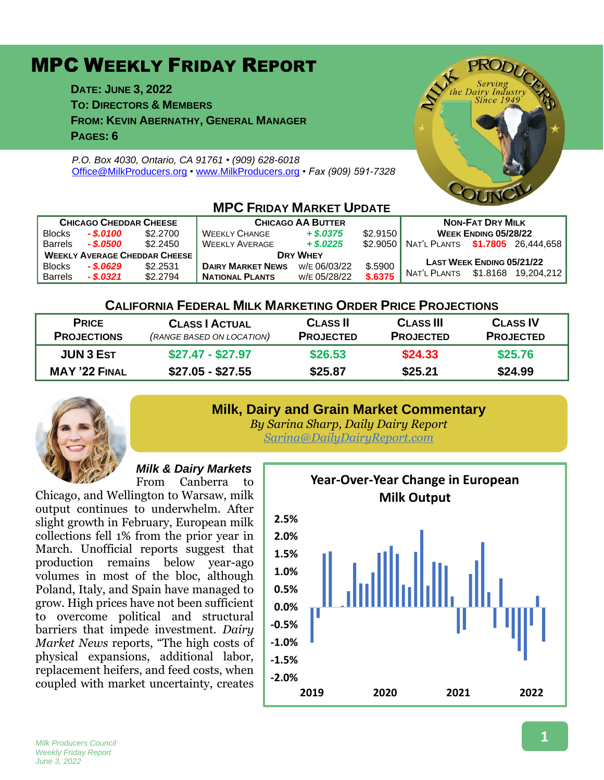# MPC WEEKLY FRIDAY REPORT

**DATE: JUNE 3, 2022 TO: DIRECTORS & MEMBERS FROM: KEVIN ABERNATHY, GENERAL MANAGER PAGES: 6**

*P.O. Box 4030, Ontario, CA 91761 • (909) 628-6018* [Office@MilkProducers.org](mailto:office@milkproducers.org) *•* [www.MilkProducers.org](http://www.milkproducers.org/) *• Fax (909) 591-7328*



| <b>CHICAGO CHEDDAR CHEESE</b>        |              |          | <b>CHICAGO AA BUTTER</b> |              |          | <b>NON-FAT DRY MILK</b>          |          |            |  |  |  |
|--------------------------------------|--------------|----------|--------------------------|--------------|----------|----------------------------------|----------|------------|--|--|--|
| Blocks                               | $-.$ \$.0100 | \$2,2700 | <b>WEEKLY CHANGE</b>     | $+$ \$.0375  | \$2.9150 | WEEK ENDING 05/28/22             |          |            |  |  |  |
| <b>Barrels</b>                       | - \$.0500    | \$2.2450 | <b>WEEKLY AVERAGE</b>    | $+$ \$,0225  | \$2.9050 | NAT'L PLANTS \$1.7805 26.444.658 |          |            |  |  |  |
| <b>WEEKLY AVERAGE CHEDDAR CHEESE</b> |              |          | <b>DRY WHEY</b>          |              |          |                                  |          |            |  |  |  |
| <b>Blocks</b>                        | $-.5.0629$   | \$2.2531 | <b>DAIRY MARKET NEWS</b> | W/E 06/03/22 | \$.5900  | <b>LAST WEEK ENDING 05/21/22</b> |          |            |  |  |  |
| <b>Barrels</b>                       | $-$ \$.0321  | \$2.2794 | <b>NATIONAL PLANTS</b>   | W/E 05/28/22 | \$.6375  | NAT'L PLANTS                     | \$1.8168 | 19.204.212 |  |  |  |

## **MPC FRIDAY MARKET UPDATE**

## **CALIFORNIA FEDERAL MILK MARKETING ORDER PRICE PROJECTIONS**

| <b>PRICE</b><br><b>PROJECTIONS</b>       | <b>CLASS   ACTUAL</b><br>(RANGE BASED ON LOCATION) | <b>CLASS II</b><br><b>PROJECTED</b> | <b>CLASS III</b><br><b>PROJECTED</b> | <b>CLASS IV</b><br><b>PROJECTED</b> |
|------------------------------------------|----------------------------------------------------|-------------------------------------|--------------------------------------|-------------------------------------|
| <b>JUN 3 EST</b><br><b>MAY '22 FINAL</b> | $$27.47 - $27.97$                                  | \$26,53                             | \$24.33                              | \$25,76                             |
|                                          | $$27.05 - $27.55$                                  | \$25.87                             | \$25.21                              | \$24.99                             |

#### **Milk, Dairy and Grain Market Commentary**



*By Sarina Sharp, Daily Dairy Report [Sarina@DailyDairyReport.com](mailto:Sarina@DailyDairyReport.com)*

# *Milk & Dairy Markets*

From Canberra to Chicago, and Wellington to Warsaw, milk output continues to underwhelm. After slight growth in February, European milk collections fell 1% from the prior year in March. Unofficial reports suggest that production remains below year-ago volumes in most of the bloc, although Poland, Italy, and Spain have managed to grow. High prices have not been sufficient to overcome political and structural barriers that impede investment. *Dairy Market News* reports, "The high costs of physical expansions, additional labor, replacement heifers, and feed costs, when coupled with market uncertainty, creates

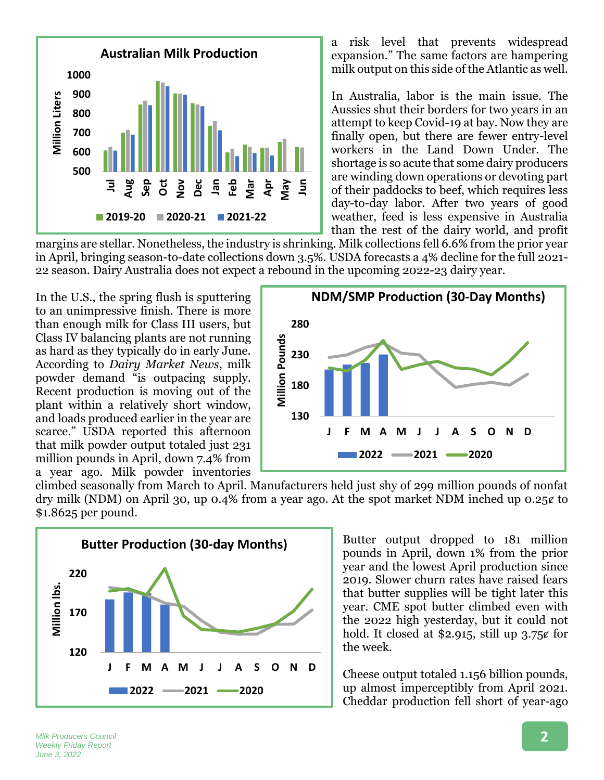

a risk level that prevents widespread expansion." The same factors are hampering milk output on this side of the Atlantic as well.

In Australia, labor is the main issue. The Aussies shut their borders for two years in an attempt to keep Covid-19 at bay. Now they are finally open, but there are fewer entry-level workers in the Land Down Under. The shortage is so acute that some dairy producers are winding down operations or devoting part of their paddocks to beef, which requires less day-to-day labor. After two years of good weather, feed is less expensive in Australia than the rest of the dairy world, and profit

margins are stellar. Nonetheless, the industry is shrinking. Milk collections fell 6.6% from the prior year in April, bringing season-to-date collections down 3.5%. USDA forecasts a 4% decline for the full 2021- 22 season. Dairy Australia does not expect a rebound in the upcoming 2022-23 dairy year.

In the U.S., the spring flush is sputtering to an unimpressive finish. There is more than enough milk for Class III users, but Class IV balancing plants are not running as hard as they typically do in early June. According to *Dairy Market News*, milk powder demand "is outpacing supply. Recent production is moving out of the plant within a relatively short window, and loads produced earlier in the year are scarce." USDA reported this afternoon that milk powder output totaled just 231 million pounds in April, down 7.4% from a year ago. Milk powder inventories



climbed seasonally from March to April. Manufacturers held just shy of 299 million pounds of nonfat dry milk (NDM) on April 30, up 0.4% from a year ago. At the spot market NDM inched up 0.25 $\epsilon$  to \$1.8625 per pound.



Butter output dropped to 181 million pounds in April, down 1% from the prior year and the lowest April production since 2019. Slower churn rates have raised fears that butter supplies will be tight later this year. CME spot butter climbed even with the 2022 high yesterday, but it could not hold. It closed at \$2.915, still up  $3.75$ ¢ for the week.

Cheese output totaled 1.156 billion pounds, up almost imperceptibly from April 2021. Cheddar production fell short of year-ago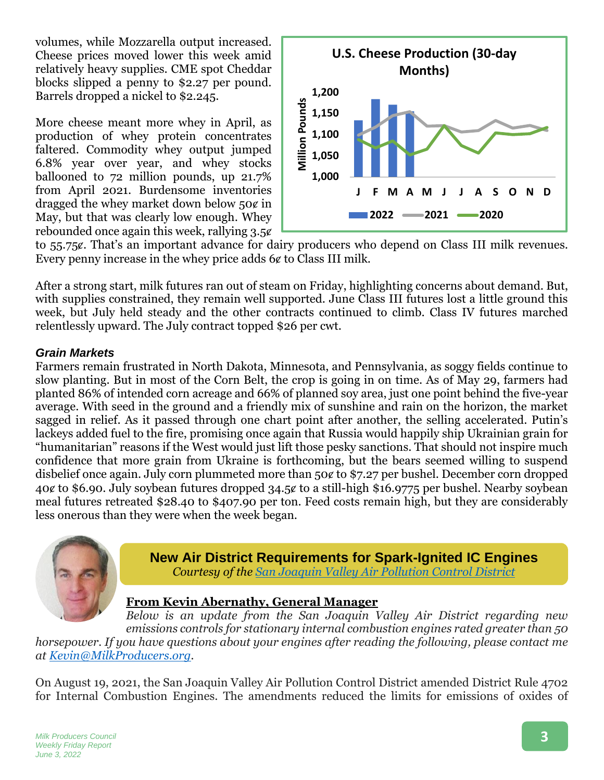volumes, while Mozzarella output increased. Cheese prices moved lower this week amid relatively heavy supplies. CME spot Cheddar blocks slipped a penny to \$2.27 per pound. Barrels dropped a nickel to \$2.245.

More cheese meant more whey in April, as production of whey protein concentrates faltered. Commodity whey output jumped 6.8% year over year, and whey stocks ballooned to 72 million pounds, up 21.7% from April 2021. Burdensome inventories dragged the whey market down below  $50¢$  in May, but that was clearly low enough. Whey rebounded once again this week, rallying 3.5¢



to 55.75ȼ. That's an important advance for dairy producers who depend on Class III milk revenues. Every penny increase in the whey price adds  $6¢$  to Class III milk.

After a strong start, milk futures ran out of steam on Friday, highlighting concerns about demand. But, with supplies constrained, they remain well supported. June Class III futures lost a little ground this week, but July held steady and the other contracts continued to climb. Class IV futures marched relentlessly upward. The July contract topped \$26 per cwt.

# *Grain Markets*

Farmers remain frustrated in North Dakota, Minnesota, and Pennsylvania, as soggy fields continue to slow planting. But in most of the Corn Belt, the crop is going in on time. As of May 29, farmers had planted 86% of intended corn acreage and 66% of planned soy area, just one point behind the five-year average. With seed in the ground and a friendly mix of sunshine and rain on the horizon, the market sagged in relief. As it passed through one chart point after another, the selling accelerated. Putin's lackeys added fuel to the fire, promising once again that Russia would happily ship Ukrainian grain for "humanitarian" reasons if the West would just lift those pesky sanctions. That should not inspire much confidence that more grain from Ukraine is forthcoming, but the bears seemed willing to suspend disbelief once again. July corn plummeted more than 50 $\epsilon$  to \$7.27 per bushel. December corn dropped 40ȼ to \$6.90. July soybean futures dropped 34.5ȼ to a still-high \$16.9775 per bushel. Nearby soybean meal futures retreated \$28.40 to \$407.90 per ton. Feed costs remain high, but they are considerably less onerous than they were when the week began.



**New Air District Requirements for Spark-Ignited IC Engines** *Courtesy of the [San Joaquin Valley Air Pollution Control District](https://ww2.valleyair.org/media/zyxny33l/r4702-cab-9-13-21.pdf)*

#### **From Kevin Abernathy, General Manager**

*Below is an update from the San Joaquin Valley Air District regarding new emissions controls for stationary internal combustion engines rated greater than 50 horsepower. If you have questions about your engines after reading the following, please contact me at [Kevin@MilkProducers.org.](mailto:Kevin@MilkProducers.org)*

On August 19, 2021, the San Joaquin Valley Air Pollution Control District amended District Rule 4702 for Internal Combustion Engines. The amendments reduced the limits for emissions of oxides of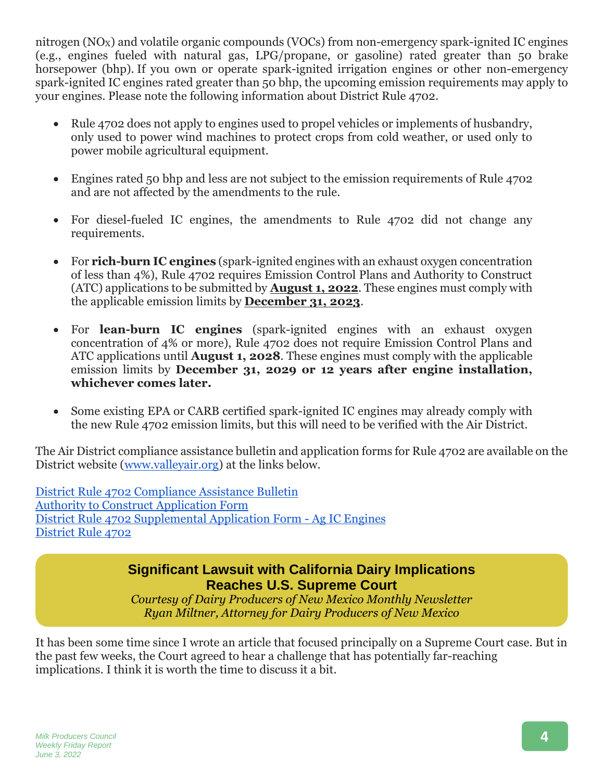nitrogen  $(NO<sub>X</sub>)$  and volatile organic compounds  $(VOCs)$  from non-emergency spark-ignited IC engines (e.g., engines fueled with natural gas, LPG/propane, or gasoline) rated greater than 50 brake horsepower (bhp). If you own or operate spark-ignited irrigation engines or other non-emergency spark-ignited IC engines rated greater than 50 bhp, the upcoming emission requirements may apply to your engines. Please note the following information about District Rule 4702.

- Rule 4702 does not apply to engines used to propel vehicles or implements of husbandry, only used to power wind machines to protect crops from cold weather, or used only to power mobile agricultural equipment.
- Engines rated 50 bhp and less are not subject to the emission requirements of Rule 4702 and are not affected by the amendments to the rule.
- For diesel-fueled IC engines, the amendments to Rule 4702 did not change any requirements.
- For **rich-burn IC engines** (spark-ignited engines with an exhaust oxygen concentration of less than 4%), Rule 4702 requires Emission Control Plans and Authority to Construct (ATC) applications to be submitted by **August 1, 2022**. These engines must comply with the applicable emission limits by **December 31, 2023**.
- For **lean-burn IC engines** (spark-ignited engines with an exhaust oxygen concentration of 4% or more), Rule 4702 does not require Emission Control Plans and ATC applications until **August 1, 2028**. These engines must comply with the applicable emission limits by **December 31, 2029 or 12 years after engine installation, whichever comes later.**
- Some existing EPA or CARB certified spark-ignited IC engines may already comply with the new Rule 4702 emission limits, but this will need to be verified with the Air District.

The Air District compliance assistance bulletin and application forms for Rule 4702 are available on the District website [\(www.valleyair.org\)](http://www.valleyair.org/) at the links below.

[District Rule 4702 Compliance Assistance Bulletin](https://ww2.valleyair.org/media/zyxny33l/r4702-cab-9-13-21.pdf) [Authority to Construct](http://www.valleyair.org/busind/pto/ptoforms/ATCappformJul2019.pdf) Application Form [District Rule 4702 Supplemental Application Form -](http://www.valleyair.org/busind/pto/ptoforms/R4702-Compliance-Application-Form-for-Ag-SI-Engine.pdf) Ag IC Engines [District Rule 4702](http://www.valleyair.org/rules/currntrules/r4702.pdf)

# **Significant Lawsuit with California Dairy Implications Reaches U.S. Supreme Court**

*Courtesy of Dairy Producers of New Mexico Monthly Newsletter Ryan Miltner, Attorney for Dairy Producers of New Mexico*

It has been some time since I wrote an article that focused principally on a Supreme Court case. But in the past few weeks, the Court agreed to hear a challenge that has potentially far-reaching implications. I think it is worth the time to discuss it a bit.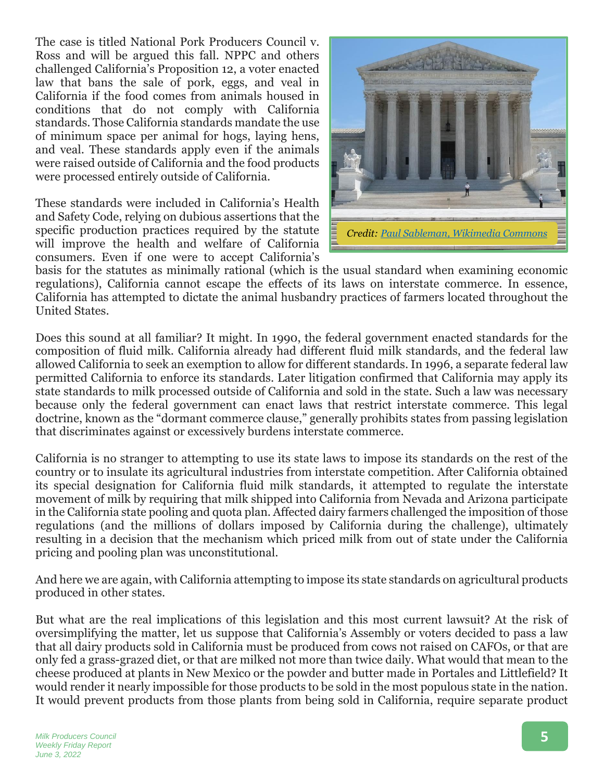The case is titled National Pork Producers Council v. Ross and will be argued this fall. NPPC and others challenged California's Proposition 12, a voter enacted law that bans the sale of pork, eggs, and veal in California if the food comes from animals housed in conditions that do not comply with California standards. Those California standards mandate the use of minimum space per animal for hogs, laying hens, and veal. These standards apply even if the animals were raised outside of California and the food products were processed entirely outside of California.

These standards were included in California's Health and Safety Code, relying on dubious assertions that the specific production practices required by the statute will improve the health and welfare of California consumers. Even if one were to accept California's



basis for the statutes as minimally rational (which is the usual standard when examining economic regulations), California cannot escape the effects of its laws on interstate commerce. In essence, California has attempted to dictate the animal husbandry practices of farmers located throughout the United States.

Does this sound at all familiar? It might. In 1990, the federal government enacted standards for the composition of fluid milk. California already had different fluid milk standards, and the federal law allowed California to seek an exemption to allow for different standards. In 1996, a separate federal law permitted California to enforce its standards. Later litigation confirmed that California may apply its state standards to milk processed outside of California and sold in the state. Such a law was necessary because only the federal government can enact laws that restrict interstate commerce. This legal doctrine, known as the "dormant commerce clause," generally prohibits states from passing legislation that discriminates against or excessively burdens interstate commerce.

California is no stranger to attempting to use its state laws to impose its standards on the rest of the country or to insulate its agricultural industries from interstate competition. After California obtained its special designation for California fluid milk standards, it attempted to regulate the interstate movement of milk by requiring that milk shipped into California from Nevada and Arizona participate in the California state pooling and quota plan. Affected dairy farmers challenged the imposition of those regulations (and the millions of dollars imposed by California during the challenge), ultimately resulting in a decision that the mechanism which priced milk from out of state under the California pricing and pooling plan was unconstitutional.

And here we are again, with California attempting to impose its state standards on agricultural products produced in other states.

But what are the real implications of this legislation and this most current lawsuit? At the risk of oversimplifying the matter, let us suppose that California's Assembly or voters decided to pass a law that all dairy products sold in California must be produced from cows not raised on CAFOs, or that are only fed a grass-grazed diet, or that are milked not more than twice daily. What would that mean to the cheese produced at plants in New Mexico or the powder and butter made in Portales and Littlefield? It would render it nearly impossible for those products to be sold in the most populous state in the nation. It would prevent products from those plants from being sold in California, require separate product